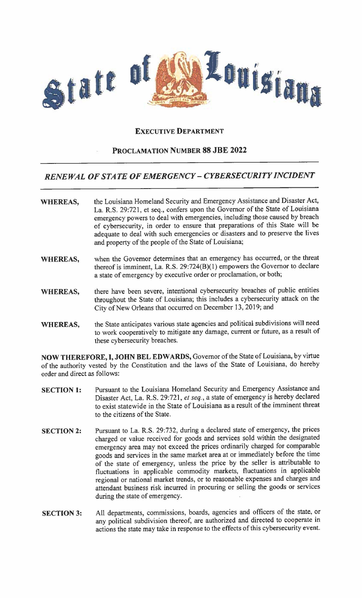

## **EXECUTIVE DEPARTMENT**

## **PROCLAMATION NUMBER 88 JBE 2022**

## *RENEWAL OF STATE OF EMERGENCY-CYBERSECURITY INCIDENT*

| <b>WHEREAS,</b> | the Louisiana Homeland Security and Emergency Assistance and Disaster Act,<br>La. R.S. 29:721, et seq., confers upon the Governor of the State of Louisiana<br>emergency powers to deal with emergencies, including those caused by breach<br>of cybersecurity, in order to ensure that preparations of this State will be<br>adequate to deal with such emergencies or disasters and to preserve the lives |
|-----------------|-------------------------------------------------------------------------------------------------------------------------------------------------------------------------------------------------------------------------------------------------------------------------------------------------------------------------------------------------------------------------------------------------------------|
|                 | and property of the people of the State of Louisiana;                                                                                                                                                                                                                                                                                                                                                       |

- **WHEREAS,**  when the Governor determines that an emergency has occurred, or the threat thereof is imminent, La. R.S.  $29:724(B)(1)$  empowers the Governor to declare a state of emergency by executive order or proclamation, or both;
- **WHEREAS,**  there have been severe, intentional cybersecurity breaches of public entities throughout the State of Louisiana; this includes a cybersecurity attack on the City of New Orleans that occurred on December 13, 2019; and
- **WHEREAS,**  the State anticipates various state agencies and political subdivisions will need to work cooperatively to mitigate any damage, current or future, as a result of these cybersecurity breaches.

**NOW THEREFORE,** I, **JOHN BEL EDWARDS,** Governor of the State of Louisiana, by virtue of the authority vested by the Constitution and the laws of the State of Louisiana, do hereby order and direct as follows:

- **SECTION 1:**  Pursuant to the Louisiana Homeland Security and Emergency Assistance and Disaster Act, La. R.S. 29:721, *et seq.,* a state of emergency is hereby declared to exist statewide in the State of Louisiana as a result of the imminent threat to the citizens of the State.
- **SECTION 2:**  Pursuant to La. R.S. 29:732, during a declared state of emergency, the prices charged or value received for goods and services sold within the designated emergency area may not exceed the prices ordinarily charged for comparable goods and services in the same market area at or immediately before the time of the state of emergency, unless the price by the seller is attributable to fluctuations in applicable commodity markets, fluctuations in applicable regional or national market trends, or to reasonable expenses and charges and attendant business risk incurred in procuring or selling the goods or services during the state of emergency.
- **SECTION 3:**  All departments, commissions, boards, agencies and officers of the state, or any political subdivision thereof, are authorized and directed to cooperate in actions the state may take in response to the effects of this cybersecurity event.